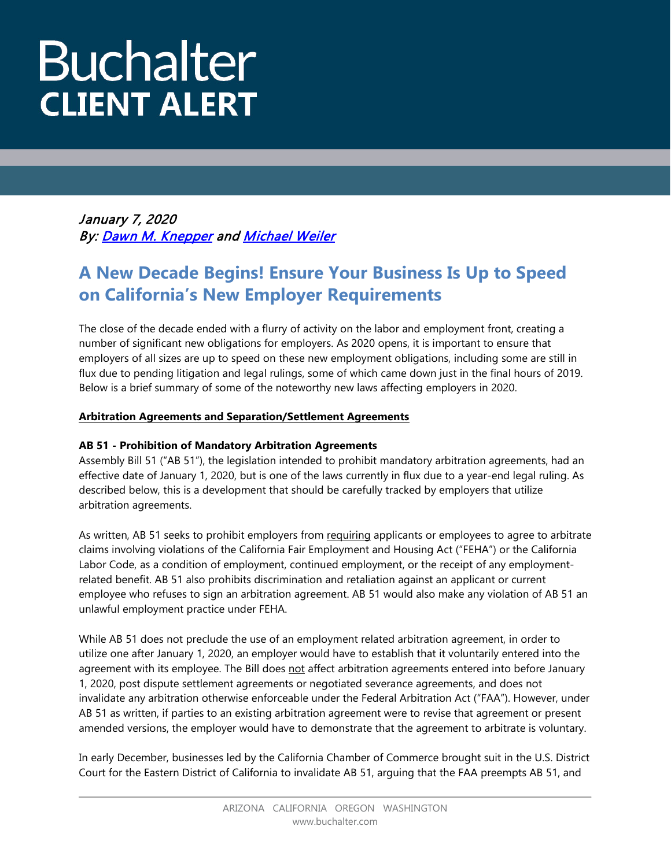# **Buchalter CLIENT ALERT**

January 7, 2020 By[: Dawn M. Knepper](https://www.buchalter.com/attorneys/dawn-m-knepper/#bio) and Michael Weiler

# **A New Decade Begins! Ensure Your Business Is Up to Speed on California's New Employer Requirements**

The close of the decade ended with a flurry of activity on the labor and employment front, creating a number of significant new obligations for employers. As 2020 opens, it is important to ensure that employers of all sizes are up to speed on these new employment obligations, including some are still in flux due to pending litigation and legal rulings, some of which came down just in the final hours of 2019. Below is a brief summary of some of the noteworthy new laws affecting employers in 2020.

# **Arbitration Agreements and Separation/Settlement Agreements**

# **AB 51 - Prohibition of Mandatory Arbitration Agreements**

Assembly Bill 51 ("AB 51"), the legislation intended to prohibit mandatory arbitration agreements, had an effective date of January 1, 2020, but is one of the laws currently in flux due to a year-end legal ruling. As described below, this is a development that should be carefully tracked by employers that utilize arbitration agreements.

As written, AB 51 seeks to prohibit employers from requiring applicants or employees to agree to arbitrate claims involving violations of the California Fair Employment and Housing Act ("FEHA") or the California Labor Code, as a condition of employment, continued employment, or the receipt of any employmentrelated benefit. AB 51 also prohibits discrimination and retaliation against an applicant or current employee who refuses to sign an arbitration agreement. AB 51 would also make any violation of AB 51 an unlawful employment practice under FEHA.

While AB 51 does not preclude the use of an employment related arbitration agreement, in order to utilize one after January 1, 2020, an employer would have to establish that it voluntarily entered into the agreement with its employee. The Bill does not affect arbitration agreements entered into before January 1, 2020, post dispute settlement agreements or negotiated severance agreements, and does not invalidate any arbitration otherwise enforceable under the Federal Arbitration Act ("FAA"). However, under AB 51 as written, if parties to an existing arbitration agreement were to revise that agreement or present amended versions, the employer would have to demonstrate that the agreement to arbitrate is voluntary.

In early December, businesses led by the California Chamber of Commerce brought suit in the U.S. District Court for the Eastern District of California to invalidate AB 51, arguing that the FAA preempts AB 51, and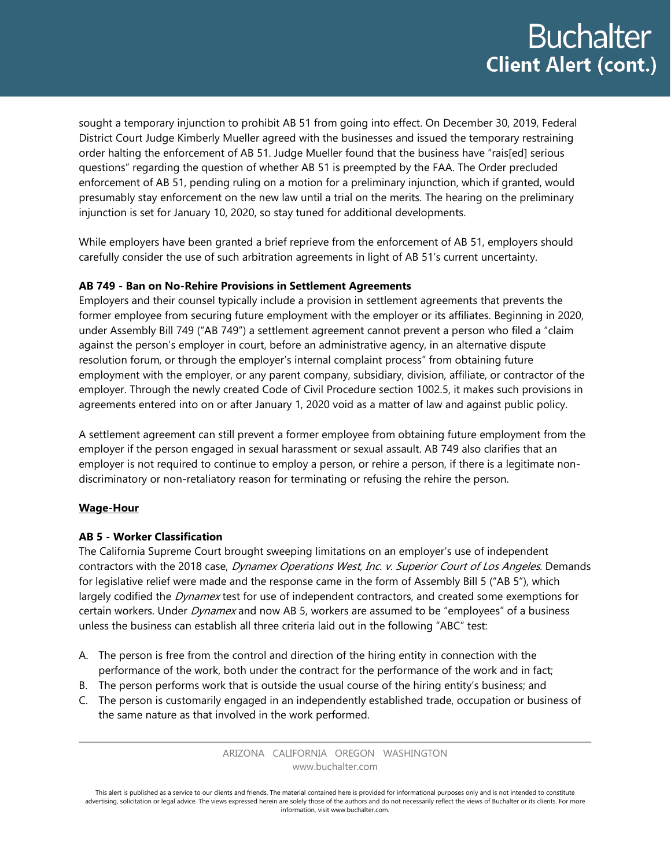sought a temporary injunction to prohibit AB 51 from going into effect. On December 30, 2019, Federal District Court Judge Kimberly Mueller agreed with the businesses and issued the temporary restraining order halting the enforcement of AB 51. Judge Mueller found that the business have "rais[ed] serious questions" regarding the question of whether AB 51 is preempted by the FAA. The Order precluded enforcement of AB 51, pending ruling on a motion for a preliminary injunction, which if granted, would presumably stay enforcement on the new law until a trial on the merits. The hearing on the preliminary injunction is set for January 10, 2020, so stay tuned for additional developments.

While employers have been granted a brief reprieve from the enforcement of AB 51, employers should carefully consider the use of such arbitration agreements in light of AB 51's current uncertainty.

# **AB 749 - Ban on No-Rehire Provisions in Settlement Agreements**

Employers and their counsel typically include a provision in settlement agreements that prevents the former employee from securing future employment with the employer or its affiliates. Beginning in 2020, under Assembly Bill 749 ("AB 749") a settlement agreement cannot prevent a person who filed a "claim against the person's employer in court, before an administrative agency, in an alternative dispute resolution forum, or through the employer's internal complaint process" from obtaining future employment with the employer, or any parent company, subsidiary, division, affiliate, or contractor of the employer. Through the newly created Code of Civil Procedure section 1002.5, it makes such provisions in agreements entered into on or after January 1, 2020 void as a matter of law and against public policy.

A settlement agreement can still prevent a former employee from obtaining future employment from the employer if the person engaged in sexual harassment or sexual assault. AB 749 also clarifies that an employer is not required to continue to employ a person, or rehire a person, if there is a legitimate nondiscriminatory or non-retaliatory reason for terminating or refusing the rehire the person.

#### **Wage-Hour**

#### **AB 5 - Worker Classification**

The California Supreme Court brought sweeping limitations on an employer's use of independent contractors with the 2018 case, Dynamex Operations West, Inc. v. Superior Court of Los Angeles. Demands for legislative relief were made and the response came in the form of Assembly Bill 5 ("AB 5"), which largely codified the Dynamex test for use of independent contractors, and created some exemptions for certain workers. Under *Dynamex* and now AB 5, workers are assumed to be "employees" of a business unless the business can establish all three criteria laid out in the following "ABC" test:

- A. The person is free from the control and direction of the hiring entity in connection with the performance of the work, both under the contract for the performance of the work and in fact;
- B. The person performs work that is outside the usual course of the hiring entity's business; and
- C. The person is customarily engaged in an independently established trade, occupation or business of the same nature as that involved in the work performed.

ARIZONA CALIFORNIA OREGON WASHINGTON www.buchalter.com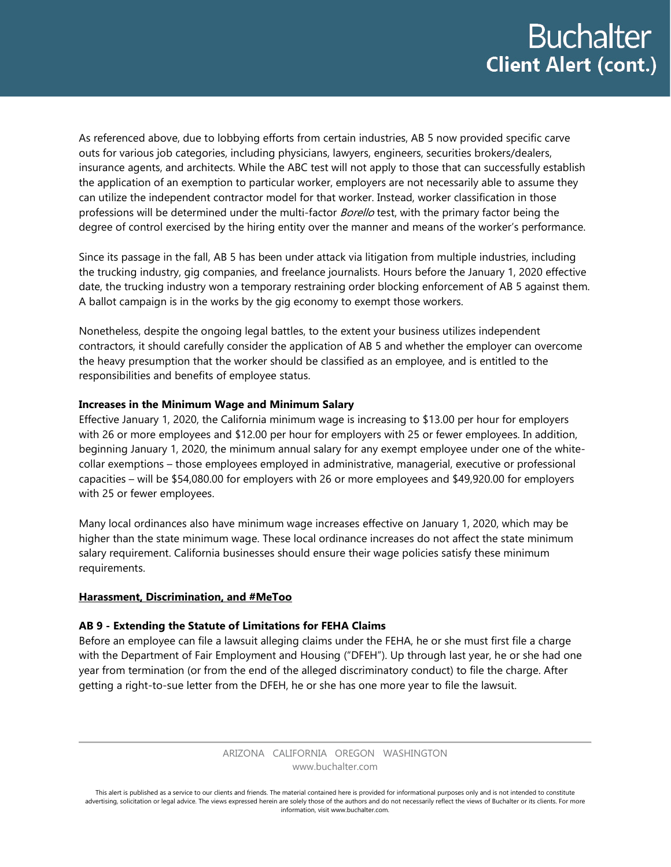As referenced above, due to lobbying efforts from certain industries, AB 5 now provided specific carve outs for various job categories, including physicians, lawyers, engineers, securities brokers/dealers, insurance agents, and architects. While the ABC test will not apply to those that can successfully establish the application of an exemption to particular worker, employers are not necessarily able to assume they can utilize the independent contractor model for that worker. Instead, worker classification in those professions will be determined under the multi-factor *Borello* test, with the primary factor being the degree of control exercised by the hiring entity over the manner and means of the worker's performance.

Since its passage in the fall, AB 5 has been under attack via litigation from multiple industries, including the trucking industry, gig companies, and freelance journalists. Hours before the January 1, 2020 effective date, the trucking industry won a temporary restraining order blocking enforcement of AB 5 against them. A ballot campaign is in the works by the gig economy to exempt those workers.

Nonetheless, despite the ongoing legal battles, to the extent your business utilizes independent contractors, it should carefully consider the application of AB 5 and whether the employer can overcome the heavy presumption that the worker should be classified as an employee, and is entitled to the responsibilities and benefits of employee status.

#### **Increases in the Minimum Wage and Minimum Salary**

Effective January 1, 2020, the California minimum wage is increasing to \$13.00 per hour for employers with 26 or more employees and \$12.00 per hour for employers with 25 or fewer employees. In addition, beginning January 1, 2020, the minimum annual salary for any exempt employee under one of the whitecollar exemptions – those employees employed in administrative, managerial, executive or professional capacities – will be \$54,080.00 for employers with 26 or more employees and \$49,920.00 for employers with 25 or fewer employees.

Many local ordinances also have minimum wage increases effective on January 1, 2020, which may be higher than the state minimum wage. These local ordinance increases do not affect the state minimum salary requirement. California businesses should ensure their wage policies satisfy these minimum requirements.

#### **Harassment, Discrimination, and #MeToo**

# **AB 9 - Extending the Statute of Limitations for FEHA Claims**

Before an employee can file a lawsuit alleging claims under the FEHA, he or she must first file a charge with the Department of Fair Employment and Housing ("DFEH"). Up through last year, he or she had one year from termination (or from the end of the alleged discriminatory conduct) to file the charge. After getting a right-to-sue letter from the DFEH, he or she has one more year to file the lawsuit.

> ARIZONA CALIFORNIA OREGON WASHINGTON www.buchalter.com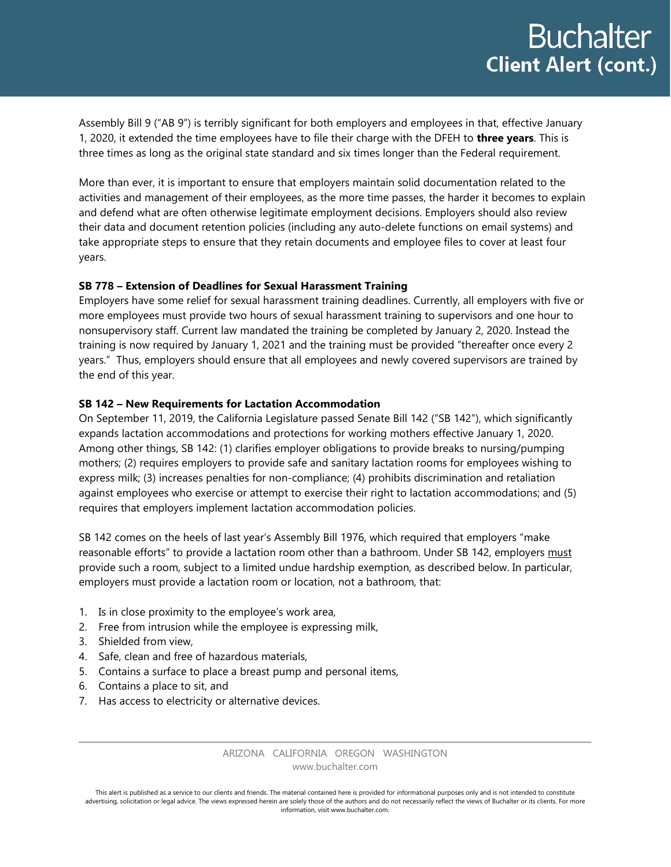Assembly Bill 9 ("AB 9") is terribly significant for both employers and employees in that, effective January 1, 2020, it extended the time employees have to file their charge with the DFEH to **three years**. This is three times as long as the original state standard and six times longer than the Federal requirement.

More than ever, it is important to ensure that employers maintain solid documentation related to the activities and management of their employees, as the more time passes, the harder it becomes to explain and defend what are often otherwise legitimate employment decisions. Employers should also review their data and document retention policies (including any auto-delete functions on email systems) and take appropriate steps to ensure that they retain documents and employee files to cover at least four years.

#### **SB 778 – Extension of Deadlines for Sexual Harassment Training**

Employers have some relief for sexual harassment training deadlines. Currently, all employers with five or more employees must provide two hours of sexual harassment training to supervisors and one hour to nonsupervisory staff. Current law mandated the training be completed by January 2, 2020. Instead the training is now required by January 1, 2021 and the training must be provided "thereafter once every 2 years." Thus, employers should ensure that all employees and newly covered supervisors are trained by the end of this year.

#### **SB 142 – New Requirements for Lactation Accommodation**

On September 11, 2019, the California Legislature passed Senate Bill 142 ("SB 142"), which significantly expands lactation accommodations and protections for working mothers effective January 1, 2020. Among other things, SB 142: (1) clarifies employer obligations to provide breaks to nursing/pumping mothers; (2) requires employers to provide safe and sanitary lactation rooms for employees wishing to express milk; (3) increases penalties for non-compliance; (4) prohibits discrimination and retaliation against employees who exercise or attempt to exercise their right to lactation accommodations; and (5) requires that employers implement lactation accommodation policies.

SB 142 comes on the heels of last year's Assembly Bill 1976, which required that employers "make reasonable efforts" to provide a lactation room other than a bathroom. Under SB 142, employers must provide such a room, subject to a limited undue hardship exemption, as described below. In particular, employers must provide a lactation room or location, not a bathroom, that:

- 1. Is in close proximity to the employee's work area,
- 2. Free from intrusion while the employee is expressing milk,
- 3. Shielded from view,
- 4. Safe, clean and free of hazardous materials,
- 5. Contains a surface to place a breast pump and personal items,
- 6. Contains a place to sit, and
- 7. Has access to electricity or alternative devices.

ARIZONA CALIFORNIA OREGON WASHINGTON www.buchalter.com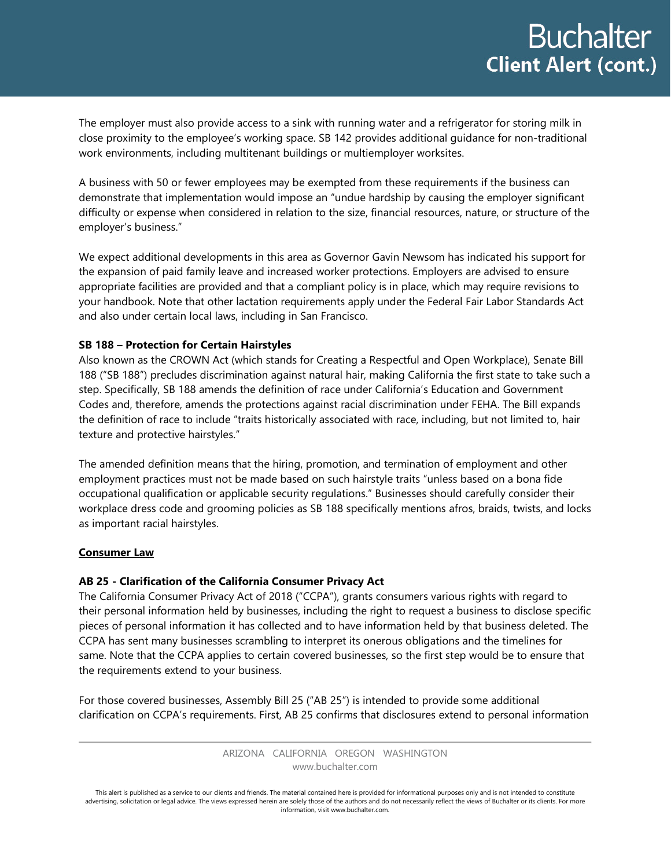The employer must also provide access to a sink with running water and a refrigerator for storing milk in close proximity to the employee's working space. SB 142 provides additional guidance for non-traditional work environments, including multitenant buildings or multiemployer worksites.

A business with 50 or fewer employees may be exempted from these requirements if the business can demonstrate that implementation would impose an "undue hardship by causing the employer significant difficulty or expense when considered in relation to the size, financial resources, nature, or structure of the employer's business."

We expect additional developments in this area as Governor Gavin Newsom has indicated his support for the expansion of paid family leave and increased worker protections. Employers are advised to ensure appropriate facilities are provided and that a compliant policy is in place, which may require revisions to your handbook. Note that other lactation requirements apply under the Federal Fair Labor Standards Act and also under certain local laws, including in San Francisco.

#### **SB 188 – Protection for Certain Hairstyles**

Also known as the CROWN Act (which stands for Creating a Respectful and Open Workplace), Senate Bill 188 ("SB 188") precludes discrimination against natural hair, making California the first state to take such a step. Specifically, SB 188 amends the definition of race under California's Education and Government Codes and, therefore, amends the protections against racial discrimination under FEHA. The Bill expands the definition of race to include "traits historically associated with race, including, but not limited to, hair texture and protective hairstyles."

The amended definition means that the hiring, promotion, and termination of employment and other employment practices must not be made based on such hairstyle traits "unless based on a bona fide occupational qualification or applicable security regulations." Businesses should carefully consider their workplace dress code and grooming policies as SB 188 specifically mentions afros, braids, twists, and locks as important racial hairstyles.

#### **Consumer Law**

# **AB 25 - Clarification of the California Consumer Privacy Act**

The California Consumer Privacy Act of 2018 ("CCPA"), grants consumers various rights with regard to their personal information held by businesses, including the right to request a business to disclose specific pieces of personal information it has collected and to have information held by that business deleted. The CCPA has sent many businesses scrambling to interpret its onerous obligations and the timelines for same. Note that the CCPA applies to certain covered businesses, so the first step would be to ensure that the requirements extend to your business.

For those covered businesses, Assembly Bill 25 ("AB 25") is intended to provide some additional clarification on CCPA's requirements. First, AB 25 confirms that disclosures extend to personal information

> ARIZONA CALIFORNIA OREGON WASHINGTON www.buchalter.com